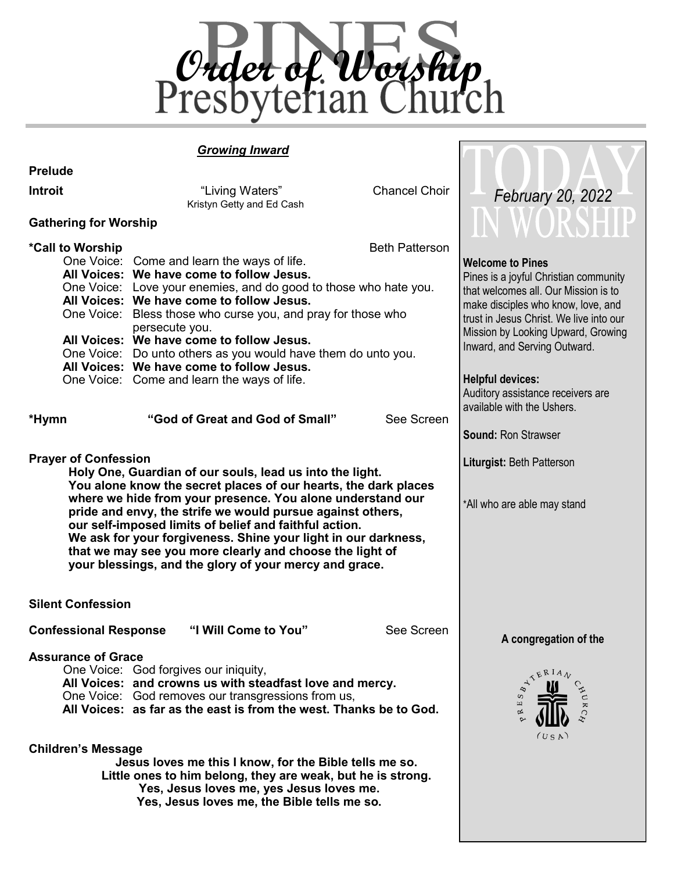

# *Growing Inward*

| <b>Prelude</b>                                                                                                                                                                                                                                                                                                                                                                                                                                                                                                                           |                                                                                                                                                                                                                                                                                                                                                                                                                                                                                                                                          |                                     |                                                                                                                                                                                                                                                                                                                                                                                             |
|------------------------------------------------------------------------------------------------------------------------------------------------------------------------------------------------------------------------------------------------------------------------------------------------------------------------------------------------------------------------------------------------------------------------------------------------------------------------------------------------------------------------------------------|------------------------------------------------------------------------------------------------------------------------------------------------------------------------------------------------------------------------------------------------------------------------------------------------------------------------------------------------------------------------------------------------------------------------------------------------------------------------------------------------------------------------------------------|-------------------------------------|---------------------------------------------------------------------------------------------------------------------------------------------------------------------------------------------------------------------------------------------------------------------------------------------------------------------------------------------------------------------------------------------|
| Introit                                                                                                                                                                                                                                                                                                                                                                                                                                                                                                                                  | "Living Waters"<br>Kristyn Getty and Ed Cash                                                                                                                                                                                                                                                                                                                                                                                                                                                                                             | <b>Chancel Choir</b>                | February 20, 2022                                                                                                                                                                                                                                                                                                                                                                           |
| <b>Gathering for Worship</b>                                                                                                                                                                                                                                                                                                                                                                                                                                                                                                             |                                                                                                                                                                                                                                                                                                                                                                                                                                                                                                                                          |                                     |                                                                                                                                                                                                                                                                                                                                                                                             |
| *Call to Worship<br>*Hymn                                                                                                                                                                                                                                                                                                                                                                                                                                                                                                                | One Voice: Come and learn the ways of life.<br>All Voices: We have come to follow Jesus.<br>One Voice: Love your enemies, and do good to those who hate you.<br>All Voices: We have come to follow Jesus.<br>One Voice: Bless those who curse you, and pray for those who<br>persecute you.<br>All Voices: We have come to follow Jesus.<br>One Voice: Do unto others as you would have them do unto you.<br>All Voices: We have come to follow Jesus.<br>One Voice: Come and learn the ways of life.<br>"God of Great and God of Small" | <b>Beth Patterson</b><br>See Screen | <b>Welcome to Pines</b><br>Pines is a joyful Christian community<br>that welcomes all. Our Mission is to<br>make disciples who know, love, and<br>trust in Jesus Christ. We live into our<br>Mission by Looking Upward, Growing<br>Inward, and Serving Outward.<br><b>Helpful devices:</b><br>Auditory assistance receivers are<br>available with the Ushers.<br><b>Sound: Ron Strawser</b> |
| <b>Prayer of Confession</b><br>Holy One, Guardian of our souls, lead us into the light.<br>You alone know the secret places of our hearts, the dark places<br>where we hide from your presence. You alone understand our<br>pride and envy, the strife we would pursue against others,<br>our self-imposed limits of belief and faithful action.<br>We ask for your forgiveness. Shine your light in our darkness,<br>that we may see you more clearly and choose the light of<br>your blessings, and the glory of your mercy and grace. | Liturgist: Beth Patterson<br>*All who are able may stand                                                                                                                                                                                                                                                                                                                                                                                                                                                                                 |                                     |                                                                                                                                                                                                                                                                                                                                                                                             |
| <b>Silent Confession</b>                                                                                                                                                                                                                                                                                                                                                                                                                                                                                                                 |                                                                                                                                                                                                                                                                                                                                                                                                                                                                                                                                          |                                     |                                                                                                                                                                                                                                                                                                                                                                                             |
| <b>Confessional Response</b>                                                                                                                                                                                                                                                                                                                                                                                                                                                                                                             | "I Will Come to You"                                                                                                                                                                                                                                                                                                                                                                                                                                                                                                                     | See Screen                          | A congregation of the                                                                                                                                                                                                                                                                                                                                                                       |
| <b>Assurance of Grace</b><br><b>Children's Message</b>                                                                                                                                                                                                                                                                                                                                                                                                                                                                                   | One Voice: God forgives our iniquity,<br>All Voices: and crowns us with steadfast love and mercy.<br>One Voice: God removes our transgressions from us,<br>All Voices: as far as the east is from the west. Thanks be to God.<br>Jesus loves me this I know, for the Bible tells me so.<br>Little ones to him belong, they are weak, but he is strong.<br>Yes, Jesus loves me, yes Jesus loves me.<br>Yes, Jesus loves me, the Bible tells me so.                                                                                        |                                     | TERIA<br>S<br>$\Xi$<br>$\approx$<br>(USA)                                                                                                                                                                                                                                                                                                                                                   |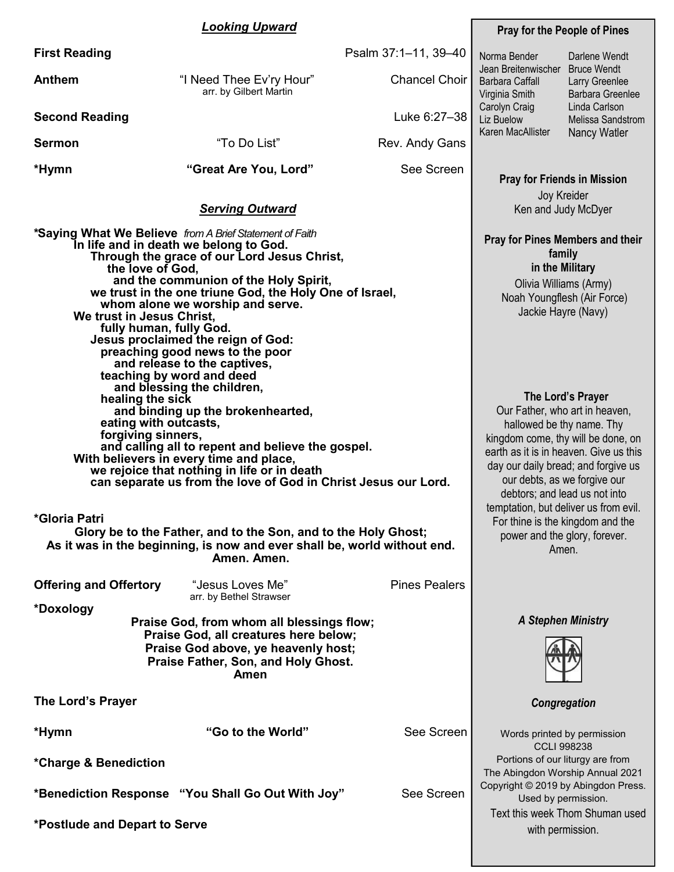#### *Looking Upward*

arr. by Gilbert Martin

**First Reading** 

| Psalm 37:1-11, 39-40 |  |  |  |
|----------------------|--|--|--|
|----------------------|--|--|--|

**Anthem** "I Need Thee Ev'ry Hour" Chancel Choir

**Second Reading** Luke 6:27–38

**Sermon**  $\qquad$  "To Do List" Rev. Andy Gans

**\*Hymn "Great Are You, Lord"** See Screen

|                                                                                                                                                             | Ken and Judy McDyer                                                                                                                                                                                                                                                                                                                                                                               |                      |                                                                                                                                                                                                                                                                          |
|-------------------------------------------------------------------------------------------------------------------------------------------------------------|---------------------------------------------------------------------------------------------------------------------------------------------------------------------------------------------------------------------------------------------------------------------------------------------------------------------------------------------------------------------------------------------------|----------------------|--------------------------------------------------------------------------------------------------------------------------------------------------------------------------------------------------------------------------------------------------------------------------|
| the love of God,<br>We trust in Jesus Christ,<br>fully human, fully God.                                                                                    | *Saying What We Believe from A Brief Statement of Faith<br>In life and in death we belong to God.<br>Through the grace of our Lord Jesus Christ,<br>and the communion of the Holy Spirit,<br>we trust in the one triune God, the Holy One of Israel,<br>whom alone we worship and serve.<br>Jesus proclaimed the reign of God:<br>preaching good news to the poor<br>and release to the captives, |                      | <b>Pray for Pines Members and their</b><br>family<br>in the Military<br>Olivia Williams (Army)<br>Noah Youngflesh (Air Force)<br>Jackie Hayre (Navy)                                                                                                                     |
| healing the sick<br>eating with outcasts,<br>forgiving sinners,                                                                                             | teaching by word and deed<br>and blessing the children,<br>and binding up the brokenhearted,<br>and calling all to repent and believe the gospel.<br>With believers in every time and place,<br>we rejoice that nothing in life or in death<br>can separate us from the love of God in Christ Jesus our Lord.                                                                                     |                      | The Lord's Prayer<br>Our Father, who art in heaven,<br>hallowed be thy name. Thy<br>kingdom come, thy will be done, on<br>earth as it is in heaven. Give us this<br>day our daily bread; and forgive us<br>our debts, as we forgive our<br>debtors; and lead us not into |
| *Gloria Patri<br>Glory be to the Father, and to the Son, and to the Holy Ghost;<br>As it was in the beginning, is now and ever shall be, world without end. | temptation, but deliver us from evil.<br>For thine is the kingdom and the<br>power and the glory, forever.<br>Amen.                                                                                                                                                                                                                                                                               |                      |                                                                                                                                                                                                                                                                          |
| <b>Offering and Offertory</b>                                                                                                                               | "Jesus Loves Me"<br>arr. by Bethel Strawser                                                                                                                                                                                                                                                                                                                                                       | <b>Pines Pealers</b> |                                                                                                                                                                                                                                                                          |
| *Doxology                                                                                                                                                   | Praise God, from whom all blessings flow;<br>Praise God, all creatures here below;<br>Praise God above, ye heavenly host;<br>Praise Father, Son, and Holy Ghost.<br>Amen                                                                                                                                                                                                                          |                      | <b>A Stephen Ministry</b>                                                                                                                                                                                                                                                |
| The Lord's Prayer                                                                                                                                           |                                                                                                                                                                                                                                                                                                                                                                                                   |                      | Congregation                                                                                                                                                                                                                                                             |
| *Hymn<br>*Charge & Benediction                                                                                                                              | "Go to the World"                                                                                                                                                                                                                                                                                                                                                                                 | See Screen           | Words printed by permission<br><b>CCLI 998238</b><br>Portions of our liturgy are from                                                                                                                                                                                    |
|                                                                                                                                                             | *Benediction Response "You Shall Go Out With Joy"                                                                                                                                                                                                                                                                                                                                                 | See Screen           | The Abingdon Worship Annual 2021<br>Copyright © 2019 by Abingdon Press.<br>Used by permission.                                                                                                                                                                           |
| *Postlude and Depart to Serve                                                                                                                               |                                                                                                                                                                                                                                                                                                                                                                                                   |                      | Text this week Thom Shuman used<br>with permission.                                                                                                                                                                                                                      |

#### **Pray for the People of Pines**

Norma Bender

Barbara Caffall Virginia Smith Carolyn Craig Liz Buelow

> **Pray for Friends in Mission** Joy Kreider

Jean Breitenwischer Bruce Wendt Karen MacAllister Darlene Wendt Larry Greenlee Barbara Greenlee Linda Carlson Melissa Sandstrom Nancy Watler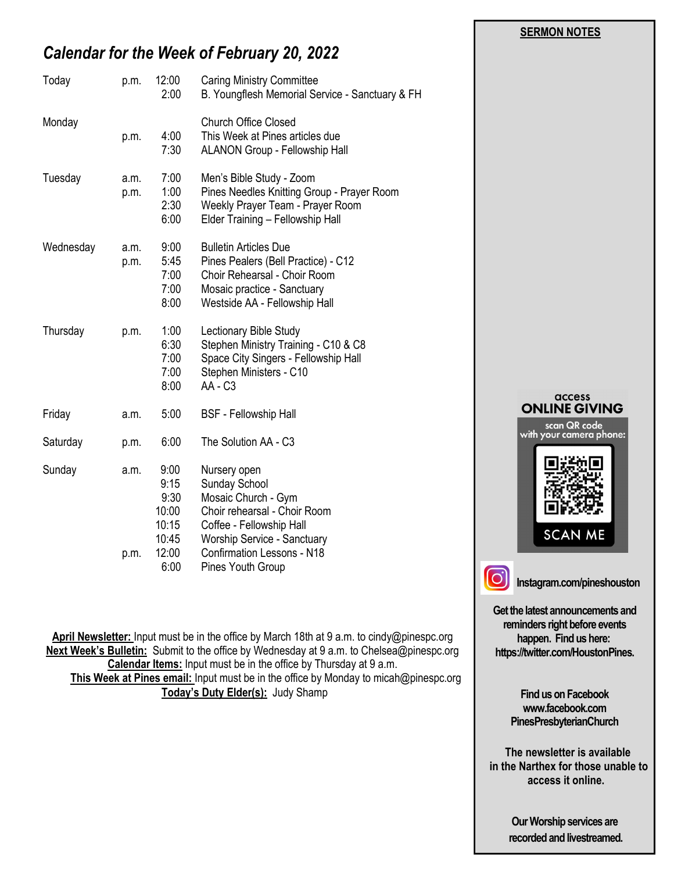# *Calendar for the Week of February 20, 2022*

| p.m.         | 12:00<br>2:00                                            | <b>Caring Ministry Committee</b><br>B. Youngflesh Memorial Service - Sanctuary & FH                                                                                                         |                          |
|--------------|----------------------------------------------------------|---------------------------------------------------------------------------------------------------------------------------------------------------------------------------------------------|--------------------------|
| p.m.         | 4:00<br>7:30                                             | <b>Church Office Closed</b><br>This Week at Pines articles due<br>ALANON Group - Fellowship Hall                                                                                            |                          |
| a.m.<br>p.m. | 7:00<br>1:00<br>2:30<br>6:00                             | Men's Bible Study - Zoom<br>Pines Needles Knitting Group - Prayer Room<br>Weekly Prayer Team - Prayer Room<br>Elder Training - Fellowship Hall                                              |                          |
| a.m.<br>p.m. | 9:00<br>5:45<br>7:00<br>7:00<br>8:00                     | <b>Bulletin Articles Due</b><br>Pines Pealers (Bell Practice) - C12<br>Choir Rehearsal - Choir Room<br>Mosaic practice - Sanctuary<br>Westside AA - Fellowship Hall                         |                          |
| p.m.         | 1:00<br>6:30<br>7:00<br>7:00<br>8:00                     | Lectionary Bible Study<br>Stephen Ministry Training - C10 & C8<br>Space City Singers - Fellowship Hall<br>Stephen Ministers - C10<br>AA - C <sub>3</sub>                                    |                          |
| a.m.         | 5:00                                                     | <b>BSF</b> - Fellowship Hall                                                                                                                                                                | ON                       |
| p.m.         | 6:00                                                     | The Solution AA - C3                                                                                                                                                                        | with $y$                 |
| a.m.<br>p.m. | 9:00<br>9:15<br>9:30<br>10:00<br>10:15<br>10:45<br>12:00 | Nursery open<br>Sunday School<br>Mosaic Church - Gym<br>Choir rehearsal - Choir Room<br>Coffee - Fellowship Hall<br><b>Worship Service - Sanctuary</b><br><b>Confirmation Lessons - N18</b> |                          |
|              |                                                          | 6:00                                                                                                                                                                                        | <b>Pines Youth Group</b> |

**April Newsletter:** Input must be in the office by March 18th at 9 a.m. to cindy@pinespc.org **Next Week's Bulletin:** Submit to the office by Wednesday at 9 a.m. to Chelsea@pinespc.org **Calendar Items:** Input must be in the office by Thursday at 9 a.m. **This Week at Pines email:** Input must be in the office by Monday to micah@pinespc.org **Today's Duty Elder(s):** Judy Shamp

#### **SERMON NOTES**



**Get the latest announcements and reminders right before events** 

**happen. Find us here: https://twitter.com/HoustonPines.** 

> **Find us on Facebook www.facebook.com PinesPresbyterianChurch**

 **The newsletter is available in the Narthex for those unable to access it online.**

> **Our Worship services are recorded and livestreamed.**